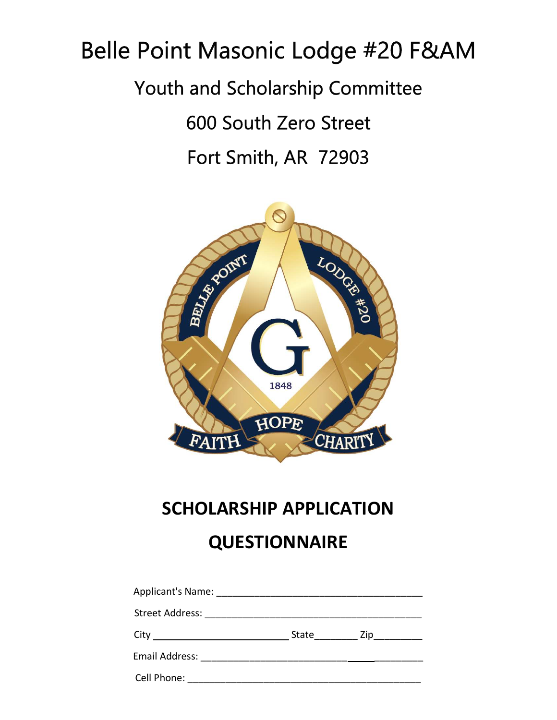# Belle Point Masonic Lodge #20 F&AM Youth and Scholarship Committee 600 South Zero Street

Fort Smith, AR 72903



# SCHOLARSHIP APPLICATION **QUESTIONNAIRE**

|                                  | State $\frac{Zip_{\text{max}}}{p}$ |  |
|----------------------------------|------------------------------------|--|
| Email Address: National Address: |                                    |  |
| Cell Phone:                      |                                    |  |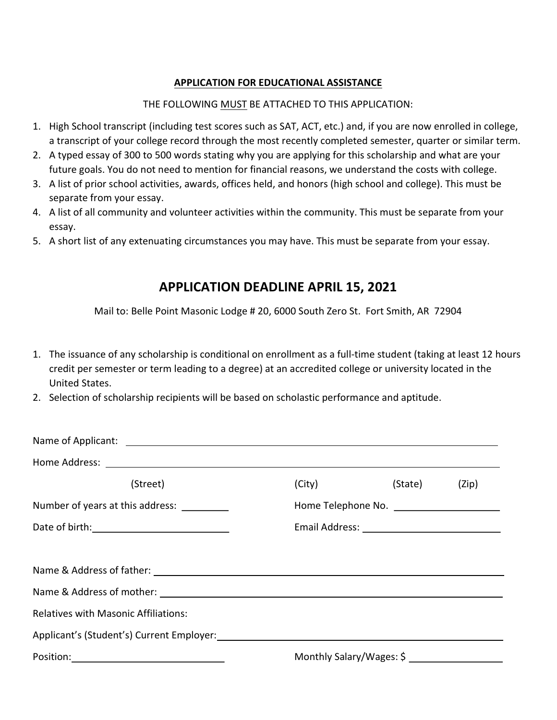#### APPLICATION FOR EDUCATIONAL ASSISTANCE

#### THE FOLLOWING MUST BE ATTACHED TO THIS APPLICATION:

- 1. High School transcript (including test scores such as SAT, ACT, etc.) and, if you are now enrolled in college, a transcript of your college record through the most recently completed semester, quarter or similar term.
- 2. A typed essay of 300 to 500 words stating why you are applying for this scholarship and what are your future goals. You do not need to mention for financial reasons, we understand the costs with college.
- 3. A list of prior school activities, awards, offices held, and honors (high school and college). This must be separate from your essay.
- 4. A list of all community and volunteer activities within the community. This must be separate from your essay.
- 5. A short list of any extenuating circumstances you may have. This must be separate from your essay.

### APPLICATION DEADLINE APRIL 15, 2021

Mail to: Belle Point Masonic Lodge # 20, 6000 South Zero St. Fort Smith, AR 72904

- 1. The issuance of any scholarship is conditional on enrollment as a full-time student (taking at least 12 hours credit per semester or term leading to a degree) at an accredited college or university located in the United States.
- 2. Selection of scholarship recipients will be based on scholastic performance and aptitude.

| (Street)                                    | (City)                   | (State) (Zip) |
|---------------------------------------------|--------------------------|---------------|
| Number of years at this address:            |                          |               |
|                                             |                          |               |
|                                             |                          |               |
|                                             |                          |               |
|                                             |                          |               |
| <b>Relatives with Masonic Affiliations:</b> |                          |               |
|                                             |                          |               |
|                                             | Monthly Salary/Wages: \$ |               |